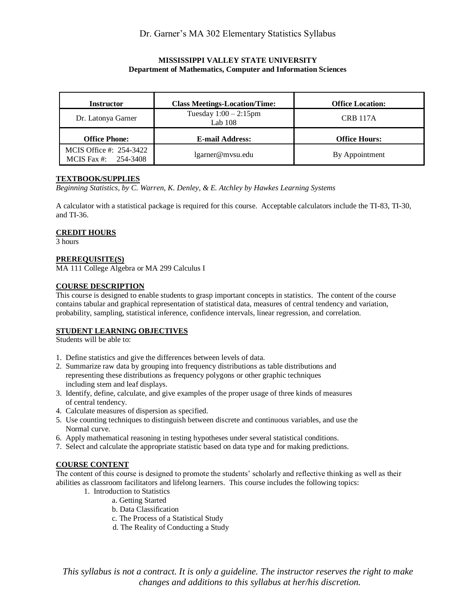## **MISSISSIPPI VALLEY STATE UNIVERSITY Department of Mathematics, Computer and Information Sciences**

| <b>Instructor</b>    | <b>Class Meetings-Location/Time:</b>  | <b>Office Location:</b> |
|----------------------|---------------------------------------|-------------------------|
| Dr. Latonya Garner   | Tuesday $1:00 - 2:15$ pm<br>Lab $108$ | <b>CRB 117A</b>         |
|                      |                                       |                         |
| <b>Office Phone:</b> | <b>E-mail Address:</b>                | <b>Office Hours:</b>    |

## **TEXTBOOK/SUPPLIES**

*Beginning Statistics, by C. Warren, K. Denley, & E. Atchley by Hawkes Learning Systems*

A calculator with a statistical package is required for this course. Acceptable calculators include the TI-83, TI-30, and TI-36.

## **CREDIT HOURS**

3 hours

## **PREREQUISITE(S)**

MA 111 College Algebra or MA 299 Calculus I

## **COURSE DESCRIPTION**

This course is designed to enable students to grasp important concepts in statistics. The content of the course contains tabular and graphical representation of statistical data, measures of central tendency and variation, probability, sampling, statistical inference, confidence intervals, linear regression, and correlation.

## **STUDENT LEARNING OBJECTIVES**

Students will be able to:

- 1. Define statistics and give the differences between levels of data.
- 2. Summarize raw data by grouping into frequency distributions as table distributions and representing these distributions as frequency polygons or other graphic techniques including stem and leaf displays.
- 3. Identify, define, calculate, and give examples of the proper usage of three kinds of measures of central tendency.
- 4. Calculate measures of dispersion as specified.
- 5. Use counting techniques to distinguish between discrete and continuous variables, and use the Normal curve.
- 6. Apply mathematical reasoning in testing hypotheses under several statistical conditions.
- 7. Select and calculate the appropriate statistic based on data type and for making predictions.

#### **COURSE CONTENT**

The content of this course is designed to promote the students' scholarly and reflective thinking as well as their abilities as classroom facilitators and lifelong learners. This course includes the following topics:

- 1. Introduction to Statistics
	- a. Getting Started
	- b. Data Classification
	- c. The Process of a Statistical Study
	- d. The Reality of Conducting a Study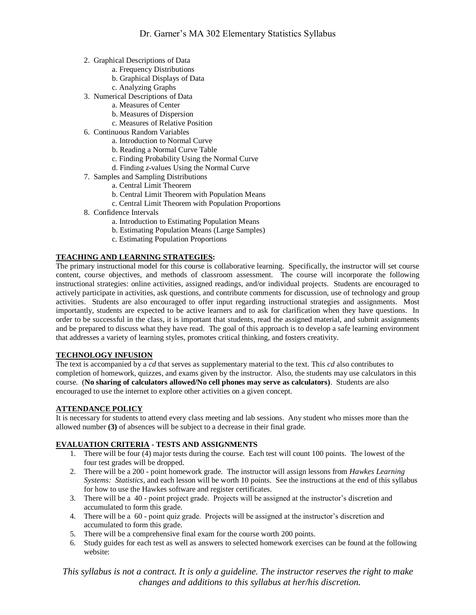- 2. Graphical Descriptions of Data
	- a. Frequency Distributions
	- b. Graphical Displays of Data
	- c. Analyzing Graphs
- 3. Numerical Descriptions of Data
	- a. Measures of Center
	- b. Measures of Dispersion
	- c. Measures of Relative Position
- 6. Continuous Random Variables
	- a. Introduction to Normal Curve
	- b. Reading a Normal Curve Table
	- c. Finding Probability Using the Normal Curve
	- d. Finding *z*-values Using the Normal Curve
- 7. Samples and Sampling Distributions
	- a. Central Limit Theorem
	- b. Central Limit Theorem with Population Means
	- c. Central Limit Theorem with Population Proportions
- 8. Confidence Intervals
	- a. Introduction to Estimating Population Means
	- b. Estimating Population Means (Large Samples)
	- c. Estimating Population Proportions

## **TEACHING AND LEARNING STRATEGIES:**

The primary instructional model for this course is collaborative learning. Specifically, the instructor will set course content, course objectives, and methods of classroom assessment. The course will incorporate the following instructional strategies: online activities, assigned readings, and/or individual projects. Students are encouraged to actively participate in activities, ask questions, and contribute comments for discussion, use of technology and group activities. Students are also encouraged to offer input regarding instructional strategies and assignments. Most importantly, students are expected to be active learners and to ask for clarification when they have questions. In order to be successful in the class, it is important that students, read the assigned material, and submit assignments and be prepared to discuss what they have read. The goal of this approach is to develop a safe learning environment that addresses a variety of learning styles, promotes critical thinking, and fosters creativity.

## **TECHNOLOGY INFUSION**

The text is accompanied by a *cd* that serves as supplementary material to the text. This *cd* also contributes to completion of homework, quizzes, and exams given by the instructor. Also, the students may use calculators in this course. (**No sharing of calculators allowed/No cell phones may serve as calculators)**. Students are also encouraged to use the internet to explore other activities on a given concept.

#### **ATTENDANCE POLICY**

It is necessary for students to attend every class meeting and lab sessions. Any student who misses more than the allowed number **(3)** of absences will be subject to a decrease in their final grade.

#### **EVALUATION CRITERIA - TESTS AND ASSIGNMENTS**

- 1. There will be four (4) major tests during the course. Each test will count 100 points. The lowest of the four test grades will be dropped.
- 2. There will be a 200 point homework grade. The instructor will assign lessons from *Hawkes Learning Systems: Statistics*, and each lesson will be worth 10 points. See the instructions at the end of this syllabus for how to use the Hawkes software and register certificates.
- 3. There will be a 40 point project grade. Projects will be assigned at the instructor's discretion and accumulated to form this grade.
- 4. There will be a 60 point quiz grade. Projects will be assigned at the instructor's discretion and accumulated to form this grade.
- 5. There will be a comprehensive final exam for the course worth 200 points.
- 6. Study guides for each test as well as answers to selected homework exercises can be found at the following website: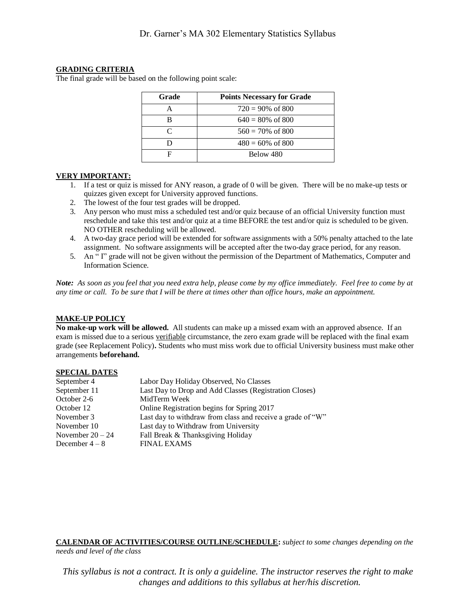#### **GRADING CRITERIA**

The final grade will be based on the following point scale:

| Grade     | <b>Points Necessary for Grade</b> |  |
|-----------|-----------------------------------|--|
|           | $720 = 90\% \text{ of } 800$      |  |
| R         | $640 = 80\% \text{ of } 800$      |  |
| $\subset$ | $560 = 70\%$ of 800               |  |
|           | $480 = 60\% \text{ of } 800$      |  |
|           | Below 480                         |  |

## **VERY IMPORTANT:**

- 1. If a test or quiz is missed for ANY reason, a grade of 0 will be given. There will be no make-up tests or quizzes given except for University approved functions.
- 2. The lowest of the four test grades will be dropped.
- 3. Any person who must miss a scheduled test and/or quiz because of an official University function must reschedule and take this test and/or quiz at a time BEFORE the test and/or quiz is scheduled to be given. NO OTHER rescheduling will be allowed.
- 4. A two-day grace period will be extended for software assignments with a 50% penalty attached to the late assignment. No software assignments will be accepted after the two-day grace period, for any reason.
- 5. An " I" grade will not be given without the permission of the Department of Mathematics, Computer and Information Science.

*Note: As soon as you feel that you need extra help, please come by my office immediately. Feel free to come by at any time or call. To be sure that I will be there at times other than office hours, make an appointment.*

#### **MAKE-UP POLICY**

**No make-up work will be allowed.** All students can make up a missed exam with an approved absence. If an exam is missed due to a serious verifiable circumstance, the zero exam grade will be replaced with the final exam grade (see Replacement Policy)**.** Students who must miss work due to official University business must make other arrangements **beforehand.**

#### **SPECIAL DATES**

| Labor Day Holiday Observed, No Classes                     |  |
|------------------------------------------------------------|--|
| Last Day to Drop and Add Classes (Registration Closes)     |  |
| MidTerm Week                                               |  |
| Online Registration begins for Spring 2017                 |  |
| Last day to withdraw from class and receive a grade of "W" |  |
| Last day to Withdraw from University                       |  |
| Fall Break & Thanksgiving Holiday                          |  |
| <b>FINAL EXAMS</b>                                         |  |
|                                                            |  |

#### **CALENDAR OF ACTIVITIES/COURSE OUTLINE/SCHEDULE:** *subject to some changes depending on the needs and level of the class*